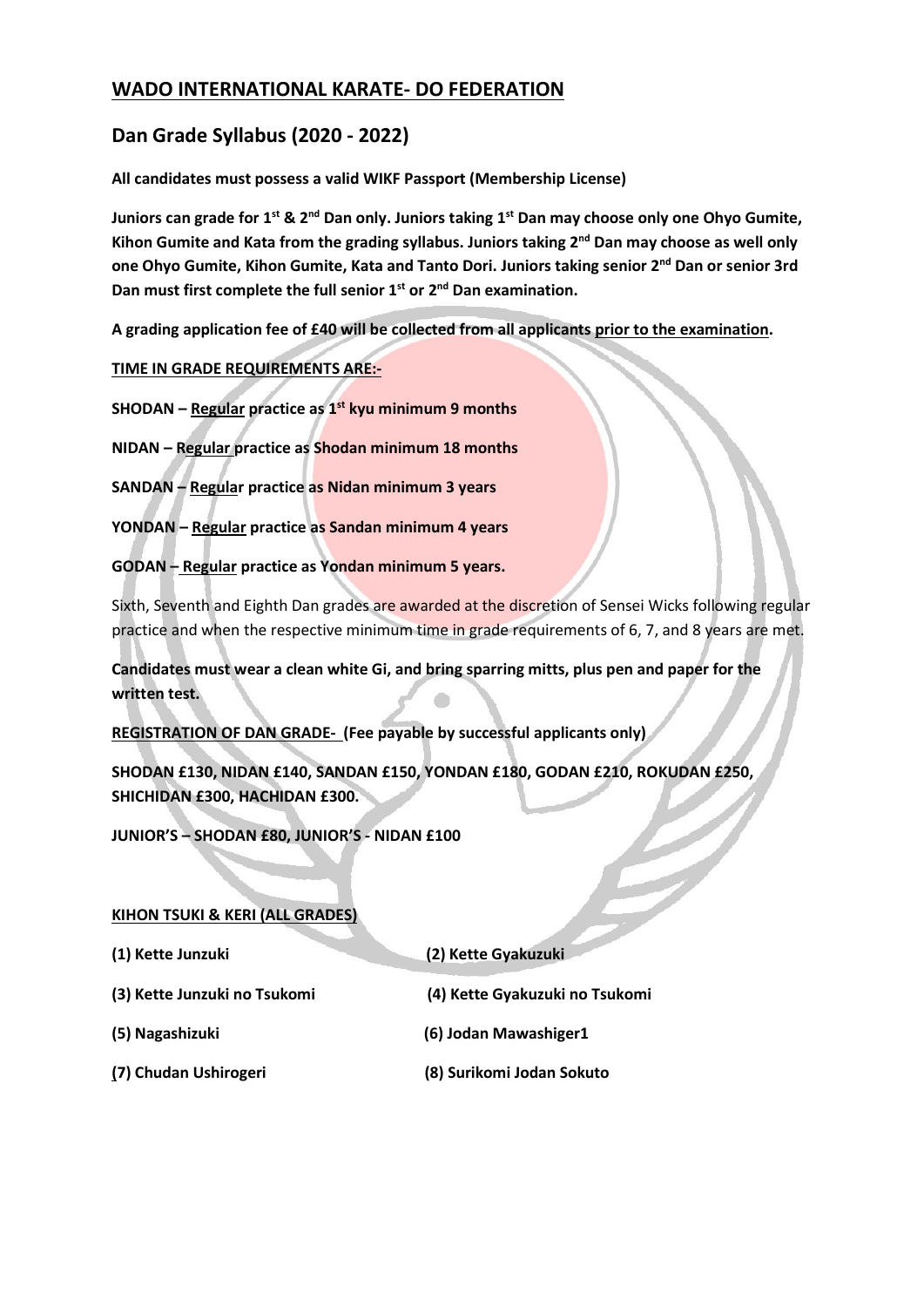# WADO INTERNATIONAL KARATE- DO FEDERATION

# Dan Grade Syllabus (2020 - 2022)

All candidates must possess a valid WIKF Passport (Membership License)

Juniors can grade for 1<sup>st</sup> & 2<sup>nd</sup> Dan only. Juniors taking 1<sup>st</sup> Dan may choose only one Ohyo Gumite, Kihon Gumite and Kata from the grading syllabus. Juniors taking  $2^{nd}$  Dan may choose as well only one Ohyo Gumite, Kihon Gumite, Kata and Tanto Dori. Juniors taking senior 2nd Dan or senior 3rd Dan must first complete the full senior  $1^{st}$  or  $2^{nd}$  Dan examination.

A grading application fee of £40 will be collected from all applicants prior to the examination.

TIME IN GRADE REQUIREMENTS ARE:-

SHODAN – Regular practice as  $1<sup>st</sup>$  kyu minimum 9 months

NIDAN – Regular practice as Shodan minimum 18 months

SANDAN – Regular practice as Nidan minimum 3 years

YONDAN – Regular practice as Sandan minimum 4 years

GODAN – Regular practice as Yondan minimum 5 years.

Sixth, Seventh and Eighth Dan grades are awarded at the discretion of Sensei Wicks following regular practice and when the respective minimum time in grade requirements of 6, 7, and 8 years are met.

Candidates must wear a clean white Gi, and bring sparring mitts, plus pen and paper for the written test.

REGISTRATION OF DAN GRADE- (Fee payable by successful applicants only)

SHODAN £130, NIDAN £140, SANDAN £150, YONDAN £180, GODAN £210, ROKUDAN £250, SHICHIDAN £300, HACHIDAN £300.

JUNIOR'S – SHODAN £80, JUNIOR'S - NIDAN £100

### KIHON TSUKI & KERI (ALL GRADES)

| (1) Kette Junzuki            | (2) Kette Gyakuzuki            |  |  |
|------------------------------|--------------------------------|--|--|
| (3) Kette Junzuki no Tsukomi | (4) Kette Gyakuzuki no Tsukomi |  |  |
| (5) Nagashizuki              | (6) Jodan Mawashiger1          |  |  |

(7) Chudan Ushirogeri (8) Surikomi Jodan Sokuto